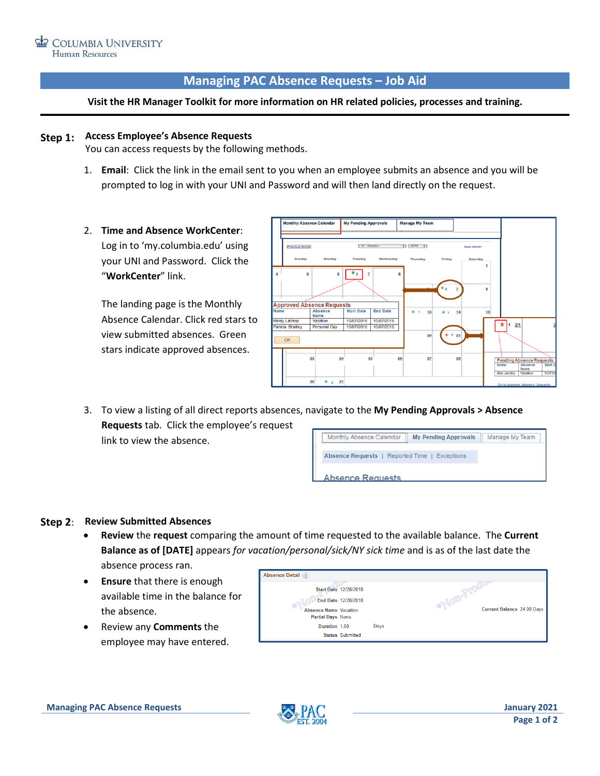# **Managing PAC Absence Requests – Job Aid**

### **Visit the HR Manager Toolkit for more information on HR related policies, processes and training.**

# **Step 1: Access Employee's Absence Requests**

You can access requests by the following methods.

- 1. **Email**: Click the link in the email sent to you when an employee submits an absence and you will be prompted to log in with your UNI and Password and will then land directly on the request.
- 2. **Time and Absence WorkCenter**: Log in to 'my.columbia.edu' using your UNI and Password. Click the "**WorkCenter**" link.

The landing page is the Monthly Absence Calendar. Click red stars to view submitted absences. Green stars indicate approved absences.



3. To view a listing of all direct reports absences, navigate to the **My Pending Approvals > Absence Requests** tab. Click the employee's request Monthly Absence Calendar My Pending Approvals Manage My Team link to view the absence.

Absence Requests | Reported Time | Exceptions

**Absence Requests** 

### **Step 2**: **Review Submitted Absences**

- **Review** the **request** comparing the amount of time requested to the available balance. The **Current Balance as of [DATE]** appears *for vacation/personal/sick/NY sick time* and is as of the last date the absence process ran.
- **Ensure** that there is enough available time in the balance for the absence.
- Review any **Comments** the employee may have entered.

| <b>Absence Detail</b> ?                    |                              |      |                            |  |  |  |  |
|--------------------------------------------|------------------------------|------|----------------------------|--|--|--|--|
|                                            | <b>Start Date 12/28/2018</b> |      |                            |  |  |  |  |
|                                            | End Date 12/28/2018          |      |                            |  |  |  |  |
| Absence Name Vacation<br>Partial Days None |                              |      | Current Balance 24.00 Days |  |  |  |  |
| Duration 1.00                              |                              | Days |                            |  |  |  |  |
|                                            | <b>Status Submitted</b>      |      |                            |  |  |  |  |